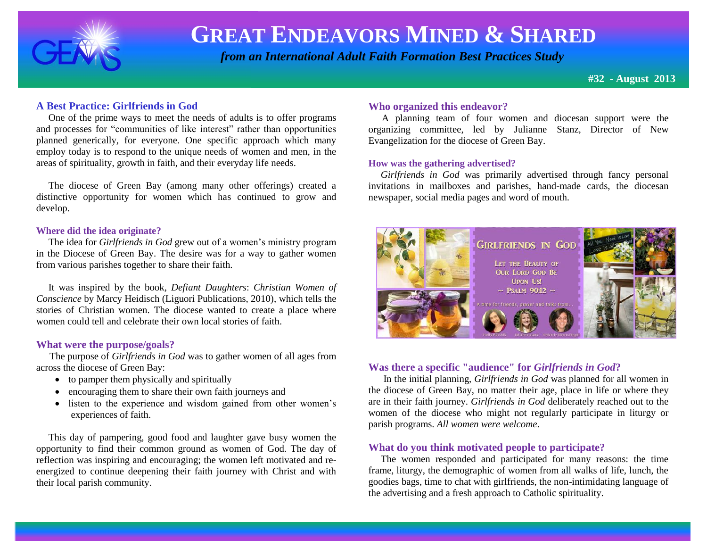

 *from an International Adult Faith Formation Best Practices Study*

**#32 - August 2013**

#### **A Best Practice: Girlfriends in God**

 One of the prime ways to meet the needs of adults is to offer programs and processes for "communities of like interest" rather than opportunities planned generically, for everyone. One specific approach which many employ today is to respond to the unique needs of women and men, in the areas of spirituality, growth in faith, and their everyday life needs.

 The diocese of Green Bay (among many other offerings) created a distinctive opportunity for women which has continued to grow and develop.

#### **Where did the idea originate?**

The idea for *Girlfriends in God* grew out of a women's ministry program in the Diocese of Green Bay. The desire was for a way to gather women from various parishes together to share their faith.

 It was inspired by the book, *Defiant Daughters*: *Christian Women of Conscience* by Marcy Heidisch (Liguori Publications, 2010), which tells the stories of Christian women. The diocese wanted to create a place where women could tell and celebrate their own local stories of faith.

#### **What were the purpose/goals?**

 The purpose of *Girlfriends in God* was to gather women of all ages from across the diocese of Green Bay:

- to pamper them physically and spiritually
- encouraging them to share their own faith journeys and
- listen to the experience and wisdom gained from other women's experiences of faith.

 This day of pampering, good food and laughter gave busy women the opportunity to find their common ground as women of God. The day of reflection was inspiring and encouraging; the women left motivated and reenergized to continue deepening their faith journey with Christ and with their local parish community.

#### **Who organized this endeavor?**

A planning team of four women and diocesan support were the organizing committee, led by Julianne Stanz, Director of New Evangelization for the diocese of Green Bay.

#### **How was the gathering advertised?**

 *Girlfriends in God* was primarily advertised through fancy personal invitations in mailboxes and parishes, hand-made cards, the diocesan newspaper, social media pages and word of mouth.



#### **Was there a specific "audience" for** *Girlfriends in God***?**

 In the initial planning, *Girlfriends in God* was planned for all women in the diocese of Green Bay, no matter their age, place in life or where they are in their faith journey. *Girlfriends in God* deliberately reached out to the women of the diocese who might not regularly participate in liturgy or parish programs. *All women were welcome*.

#### **What do you think motivated people to participate?**

 The women responded and participated for many reasons: the time frame, liturgy, the demographic of women from all walks of life, lunch, the goodies bags, time to chat with girlfriends, the non-intimidating language of the advertising and a fresh approach to Catholic spirituality.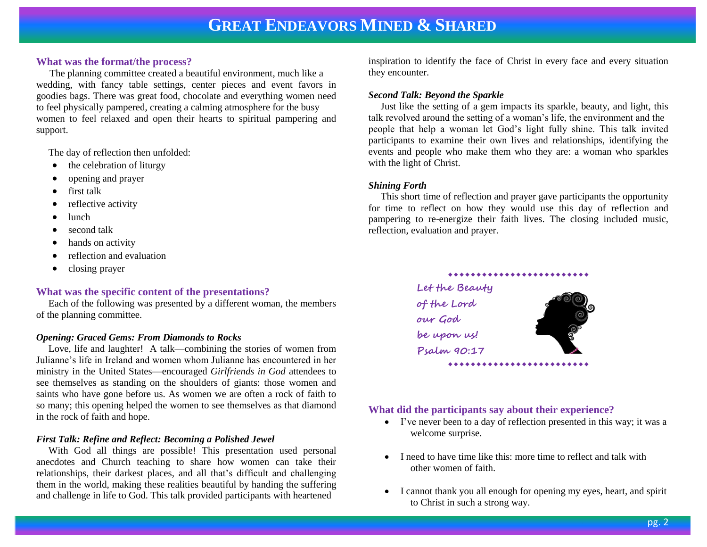#### **What was the format/the process?**

The planning committee created a beautiful environment, much like a wedding, with fancy table settings, center pieces and event favors in goodies bags. There was great food, chocolate and everything women need to feel physically pampered, creating a calming atmosphere for the busy women to feel relaxed and open their hearts to spiritual pampering and support.

The day of reflection then unfolded:

- $\bullet$  the celebration of liturgy
- opening and prayer
- $\bullet$  first talk
- reflective activity
- lunch
- second talk
- hands on activity
- reflection and evaluation
- closing prayer

#### **What was the specific content of the presentations?**

 Each of the following was presented by a different woman, the members of the planning committee.

#### *Opening: Graced Gems: From Diamonds to Rocks*

 Love, life and laughter! A talk—combining the stories of women from Julianne's life in Ireland and women whom Julianne has encountered in her ministry in the United States—encouraged *Girlfriends in God* attendees to see themselves as standing on the shoulders of giants: those women and saints who have gone before us. As women we are often a rock of faith to so many; this opening helped the women to see themselves as that diamond in the rock of faith and hope.

#### *First Talk: Refine and Reflect: Becoming a Polished Jewel*

 With God all things are possible! This presentation used personal anecdotes and Church teaching to share how women can take their relationships, their darkest places, and all that's difficult and challenging them in the world, making these realities beautiful by handing the suffering and challenge in life to God. This talk provided participants with heartened

inspiration to identify the face of Christ in every face and every situation they encounter.

#### *Second Talk: Beyond the Sparkle*

 Just like the setting of a gem impacts its sparkle, beauty, and light, this talk revolved around the setting of a woman's life, the environment and the people that help a woman let God's light fully shine. This talk invited participants to examine their own lives and relationships, identifying the events and people who make them who they are: a woman who sparkles with the light of Christ.

#### *Shining Forth*

 This short time of reflection and prayer gave participants the opportunity for time to reflect on how they would use this day of reflection and pampering to re-energize their faith lives. The closing included music, reflection, evaluation and prayer.



#### **What did the participants say about their experience?**

- I've never been to a day of reflection presented in this way; it was a welcome surprise.
- I need to have time like this: more time to reflect and talk with other women of faith.
- I cannot thank you all enough for opening my eyes, heart, and spirit to Christ in such a strong way.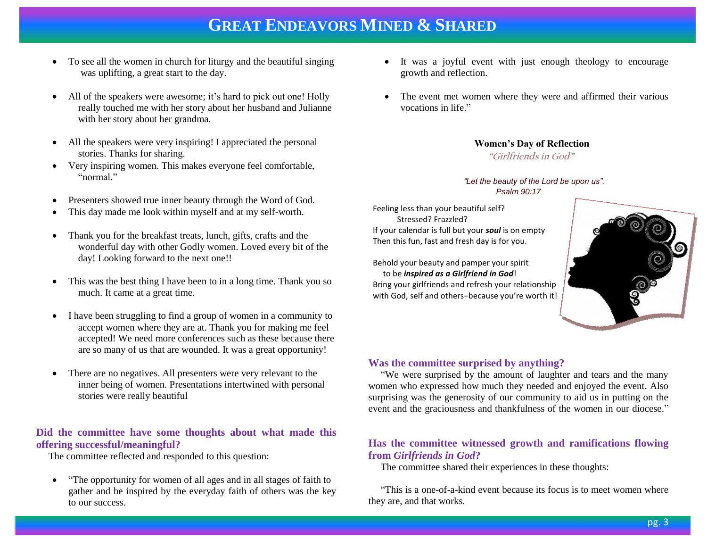- To see all the women in church for liturgy and the beautiful singing was uplifting, a great start to the day.
- All of the speakers were awesome; it's hard to pick out one! Holly really touched me with her story about her husband and Julianne with her story about her grandma.
- All the speakers were very inspiring! I appreciated the personal stories. Thanks for sharing.
- Very inspiring women. This makes everyone feel comfortable, "normal"
- Presenters showed true inner beauty through the Word of God.
- This day made me look within myself and at my self-worth.
- Thank you for the breakfast treats, lunch, gifts, crafts and the wonderful day with other Godly women. Loved every bit of the day! Looking forward to the next one!!
- This was the best thing I have been to in a long time. Thank you so much. It came at a great time.
- I have been struggling to find a group of women in a community to accept women where they are at. Thank you for making me feel accepted! We need more conferences such as these because there are so many of us that are wounded. It was a great opportunity!
- There are no negatives. All presenters were very relevant to the inner being of women. Presentations intertwined with personal stories were really beautiful

#### **Did the committee have some thoughts about what made this offering successful/meaningful?**

The committee reflected and responded to this question:

• "The opportunity for women of all ages and in all stages of faith to gather and be inspired by the everyday faith of others was the key to our success.

- It was a joyful event with just enough theology to encourage growth and reflection.
- The event met women where they were and affirmed their various vocations in life."

 **Women's Day of Reflection**

 **"Girlfriends in God"** 

#### *"Let the beauty of the Lord be upon us". Psalm 90:17*

Feeling less than your beautiful self? Stressed? Frazzled? If your calendar is full but your *soul* is on empty Then this fun, fast and fresh day is for you.

Behold your beauty and pamper your spirit to be *inspired as a Girlfriend in God*! Bring your girlfriends and refresh your relationship with God, self and others–because you're worth it!



#### **Was the committee surprised by anything?**

 "We were surprised by the amount of laughter and tears and the many women who expressed how much they needed and enjoyed the event. Also surprising was the generosity of our community to aid us in putting on the event and the graciousness and thankfulness of the women in our diocese."

#### **Has the committee witnessed growth and ramifications flowing from** *Girlfriends in God***?**

The committee shared their experiences in these thoughts:

 "This is a one-of-a-kind event because its focus is to meet women where they are, and that works.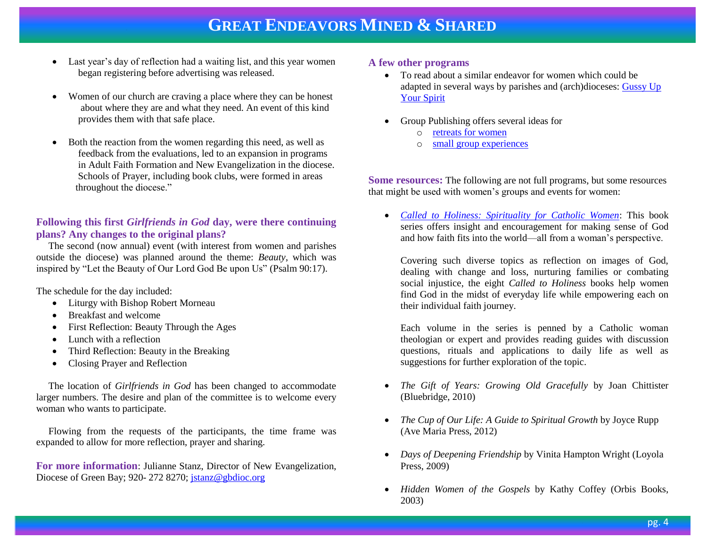- Last year's day of reflection had a waiting list, and this year women began registering before advertising was released.
- Women of our church are craving a place where they can be honest about where they are and what they need. An event of this kind provides them with that safe place.
- Both the reaction from the women regarding this need, as well as feedback from the evaluations, led to an expansion in programs in Adult Faith Formation and New Evangelization in the diocese. Schools of Prayer, including book clubs, were formed in areas throughout the diocese."

#### **Following this first** *Girlfriends in God* **day, were there continuing plans? Any changes to the original plans?**

 The second (now annual) event (with interest from women and parishes outside the diocese) was planned around the theme: *Beauty*, which was inspired by "Let the Beauty of Our Lord God Be upon Us" (Psalm 90:17).

The schedule for the day included:

- Liturgy with Bishop Robert Morneau
- Breakfast and welcome
- First Reflection: Beauty Through the Ages
- Lunch with a reflection
- Third Reflection: Beauty in the Breaking
- Closing Prayer and Reflection

 The location of *Girlfriends in God* has been changed to accommodate larger numbers. The desire and plan of the committee is to welcome every woman who wants to participate.

 Flowing from the requests of the participants, the time frame was expanded to allow for more reflection, prayer and sharing.

**For more information**: Julianne Stanz, Director of New Evangelization, Diocese of Green Bay; 920-272 8270[; jstanz@gbdioc.org](mailto:jstanz@gbdioc.org)

#### **A few other programs**

- To read about a similar endeavor for women which could be adapted in several ways by parishes and (arch)dioceses: [Gussy Up](http://store.pastoralplanning.com/beprguupyosp.html)  [Your Spirit](http://store.pastoralplanning.com/beprguupyosp.html)
- Group Publishing offers several ideas for
	- o [retreats for women](http://www.group.com/womens-ministry/retreats)
	- o [small group experiences](http://www.group.com/womens-ministry)

**Some resources:** The following are not full programs, but some resources that might be used with women's groups and events for women:

 *[Called to Holiness: Spirituality for Catholic Women](http://www.calledtoholiness.org/)*: This book series offers insight and encouragement for making sense of God and how faith fits into the world—all from a woman's perspective.

Covering such diverse topics as reflection on images of God, dealing with change and loss, nurturing families or combating social injustice, the eight *Called to Holiness* books help women find God in the midst of everyday life while empowering each on their individual faith journey.

Each volume in the series is penned by a Catholic woman theologian or expert and provides [reading guides](http://catalog.americancatholic.org/blogs/calledtoholiness/guides/HowToReadGuide_CalledToHoliness_Books.pdf) with discussion questions, rituals and applications to daily life as well as suggestions for further exploration of the topic.

- *The Gift of Years: Growing Old Gracefully* by Joan Chittister (Bluebridge, 2010)
- *The Cup of Our Life: A Guide to Spiritual Growth* by Joyce Rupp (Ave Maria Press, 2012)
- *Days of Deepening Friendship* by Vinita Hampton Wright (Loyola Press, 2009)
- *Hidden Women of the Gospels* by Kathy Coffey (Orbis Books, 2003)